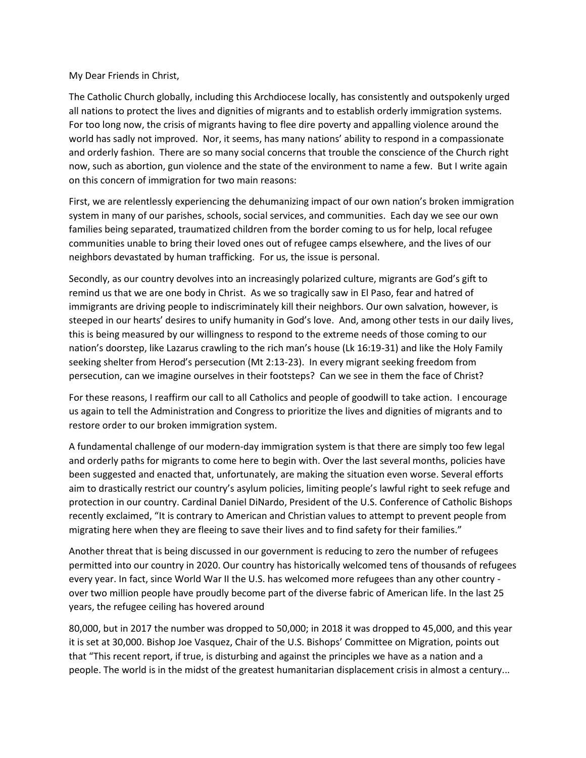My Dear Friends in Christ,

The Catholic Church globally, including this Archdiocese locally, has consistently and outspokenly urged all nations to protect the lives and dignities of migrants and to establish orderly immigration systems. For too long now, the crisis of migrants having to flee dire poverty and appalling violence around the world has sadly not improved. Nor, it seems, has many nations' ability to respond in a compassionate and orderly fashion. There are so many social concerns that trouble the conscience of the Church right now, such as abortion, gun violence and the state of the environment to name a few. But I write again on this concern of immigration for two main reasons:

First, we are relentlessly experiencing the dehumanizing impact of our own nation's broken immigration system in many of our parishes, schools, social services, and communities. Each day we see our own families being separated, traumatized children from the border coming to us for help, local refugee communities unable to bring their loved ones out of refugee camps elsewhere, and the lives of our neighbors devastated by human trafficking. For us, the issue is personal.

Secondly, as our country devolves into an increasingly polarized culture, migrants are God's gift to remind us that we are one body in Christ. As we so tragically saw in El Paso, fear and hatred of immigrants are driving people to indiscriminately kill their neighbors. Our own salvation, however, is steeped in our hearts' desires to unify humanity in God's love. And, among other tests in our daily lives, this is being measured by our willingness to respond to the extreme needs of those coming to our nation's doorstep, like Lazarus crawling to the rich man's house (Lk 16:19-31) and like the Holy Family seeking shelter from Herod's persecution (Mt 2:13-23). In every migrant seeking freedom from persecution, can we imagine ourselves in their footsteps? Can we see in them the face of Christ?

For these reasons, I reaffirm our call to all Catholics and people of goodwill to take action. I encourage us again to tell the Administration and Congress to prioritize the lives and dignities of migrants and to restore order to our broken immigration system.

A fundamental challenge of our modern-day immigration system is that there are simply too few legal and orderly paths for migrants to come here to begin with. Over the last several months, policies have been suggested and enacted that, unfortunately, are making the situation even worse. Several efforts aim to drastically restrict our country's asylum policies, limiting people's lawful right to seek refuge and protection in our country. Cardinal Daniel DiNardo, President of the U.S. Conference of Catholic Bishops recently exclaimed, "It is contrary to American and Christian values to attempt to prevent people from migrating here when they are fleeing to save their lives and to find safety for their families."

Another threat that is being discussed in our government is reducing to zero the number of refugees permitted into our country in 2020. Our country has historically welcomed tens of thousands of refugees every year. In fact, since World War II the U.S. has welcomed more refugees than any other country over two million people have proudly become part of the diverse fabric of American life. In the last 25 years, the refugee ceiling has hovered around

80,000, but in 2017 the number was dropped to 50,000; in 2018 it was dropped to 45,000, and this year it is set at 30,000. Bishop Joe Vasquez, Chair of the U.S. Bishops' Committee on Migration, points out that "This recent report, if true, is disturbing and against the principles we have as a nation and a people. The world is in the midst of the greatest humanitarian displacement crisis in almost a century...